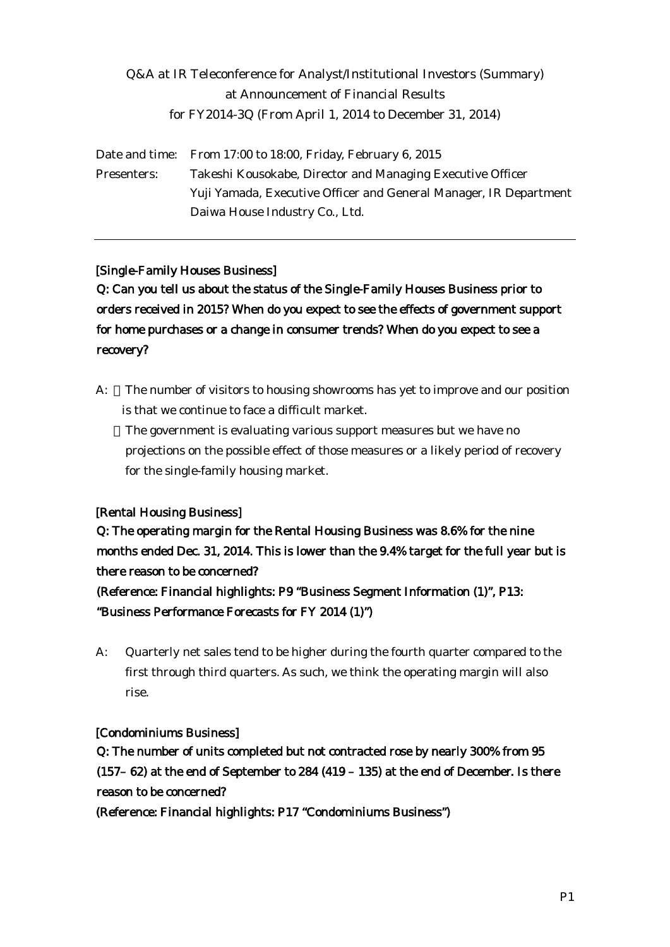# Q&A at IR Teleconference for Analyst/Institutional Investors (Summary) at Announcement of Financial Results for FY2014-3Q (From April 1, 2014 to December 31, 2014)

Date and time: From 17:00 to 18:00, Friday, February 6, 2015 Presenters: Takeshi Kousokabe, Director and Managing Executive Officer Yuji Yamada, Executive Officer and General Manager, IR Department Daiwa House Industry Co., Ltd.

#### [Single-Family Houses Business]

Q: Can you tell us about the status of the Single-Family Houses Business prior to orders received in 2015? When do you expect to see the effects of government support for home purchases or a change in consumer trends? When do you expect to see a recovery?

A: The number of visitors to housing showrooms has yet to improve and our position is that we continue to face a difficult market.

The government is evaluating various support measures but we have no projections on the possible effect of those measures or a likely period of recovery for the single-family housing market.

### [Rental Housing Business]

Q: The operating margin for the Rental Housing Business was 8.6% for the nine months ended Dec. 31, 2014. This is lower than the 9.4% target for the full year but is there reason to be concerned?

(Reference: Financial highlights: P9 "Business Segment Information (1)", P13: "Business Performance Forecasts for FY 2014 (1)")

A: Quarterly net sales tend to be higher during the fourth quarter compared to the first through third quarters. As such, we think the operating margin will also rise.

#### [Condominiums Business]

Q: The number of units completed but not contracted rose by nearly 300% from 95 (157– 62) at the end of September to 284 (419 – 135) at the end of December. Is there reason to be concerned?

(Reference: Financial highlights: P17 "Condominiums Business")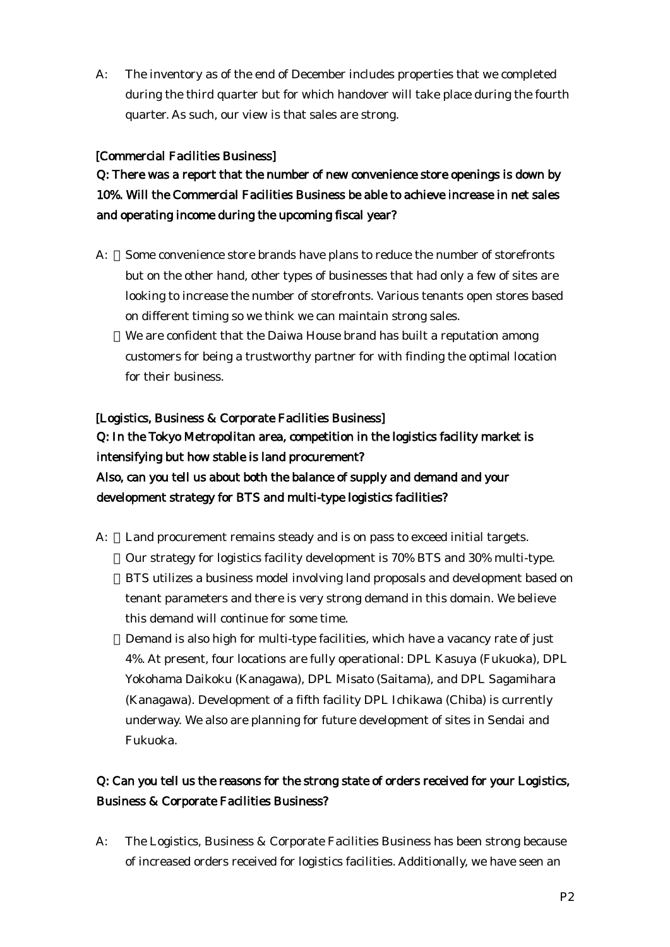A: The inventory as of the end of December includes properties that we completed during the third quarter but for which handover will take place during the fourth quarter. As such, our view is that sales are strong.

#### [Commercial Facilities Business]

Q: There was a report that the number of new convenience store openings is down by 10%. Will the Commercial Facilities Business be able to achieve increase in net sales and operating income during the upcoming fiscal year?

A: Some convenience store brands have plans to reduce the number of storefronts but on the other hand, other types of businesses that had only a few of sites are looking to increase the number of storefronts. Various tenants open stores based on different timing so we think we can maintain strong sales. We are confident that the Daiwa House brand has built a reputation among customers for being a trustworthy partner for with finding the optimal location for their business.

# [Logistics, Business & Corporate Facilities Business] Q: In the Tokyo Metropolitan area, competition in the logistics facility market is intensifying but how stable is land procurement? Also, can you tell us about both the balance of supply and demand and your development strategy for BTS and multi-type logistics facilities?

A: Land procurement remains steady and is on pass to exceed initial targets. Our strategy for logistics facility development is 70% BTS and 30% multi-type. BTS utilizes a business model involving land proposals and development based on tenant parameters and there is very strong demand in this domain. We believe this demand will continue for some time. Demand is also high for multi-type facilities, which have a vacancy rate of just

4%. At present, four locations are fully operational: DPL Kasuya (Fukuoka), DPL Yokohama Daikoku (Kanagawa), DPL Misato (Saitama), and DPL Sagamihara (Kanagawa). Development of a fifth facility DPL Ichikawa (Chiba) is currently underway. We also are planning for future development of sites in Sendai and Fukuoka.

## Q: Can you tell us the reasons for the strong state of orders received for your Logistics, Business & Corporate Facilities Business?

A: The Logistics, Business & Corporate Facilities Business has been strong because of increased orders received for logistics facilities. Additionally, we have seen an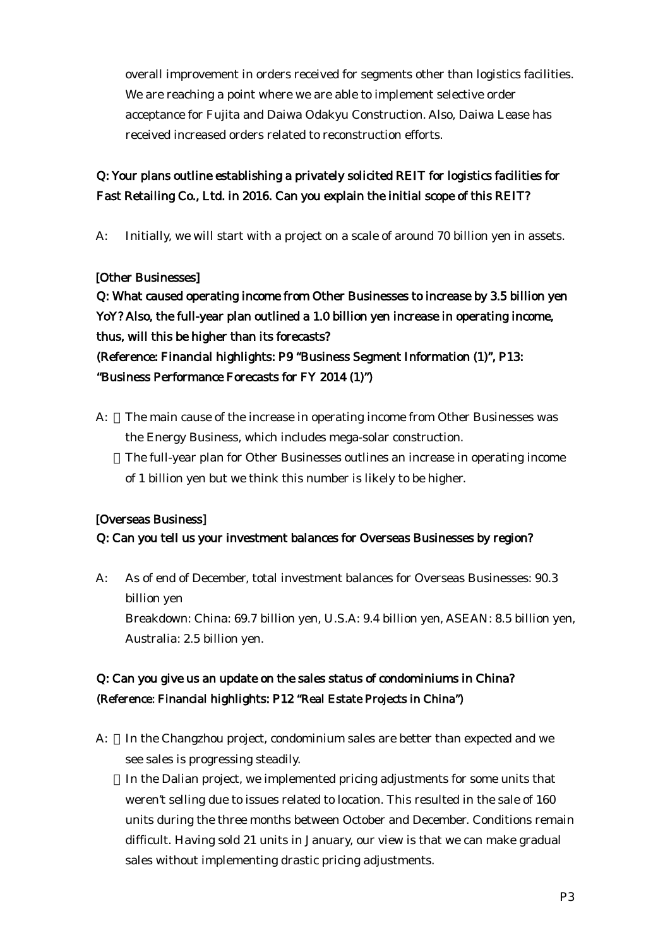overall improvement in orders received for segments other than logistics facilities. We are reaching a point where we are able to implement selective order acceptance for Fujita and Daiwa Odakyu Construction. Also, Daiwa Lease has received increased orders related to reconstruction efforts.

## Q: Your plans outline establishing a privately solicited REIT for logistics facilities for Fast Retailing Co., Ltd. in 2016. Can you explain the initial scope of this REIT?

A: Initially, we will start with a project on a scale of around 70 billion yen in assets.

### [Other Businesses]

Q: What caused operating income from Other Businesses to increase by 3.5 billion yen YoY? Also, the full-year plan outlined a 1.0 billion yen increase in operating income, thus, will this be higher than its forecasts? (Reference: Financial highlights: P9 "Business Segment Information (1)", P13: "Business Performance Forecasts for FY 2014 (1)")

A: The main cause of the increase in operating income from Other Businesses was the Energy Business, which includes mega-solar construction. The full-year plan for Other Businesses outlines an increase in operating income of 1 billion yen but we think this number is likely to be higher.

### [Overseas Business]

### Q: Can you tell us your investment balances for Overseas Businesses by region?

A: As of end of December, total investment balances for Overseas Businesses: 90.3 billion yen Breakdown: China: 69.7 billion yen, U.S.A: 9.4 billion yen, ASEAN: 8.5 billion yen, Australia: 2.5 billion yen.

## Q: Can you give us an update on the sales status of condominiums in China? (Reference: Financial highlights: P12 "Real Estate Projects in China")

A: In the Changzhou project, condominium sales are better than expected and we see sales is progressing steadily. In the Dalian project, we implemented pricing adjustments for some units that weren't selling due to issues related to location. This resulted in the sale of 160 units during the three months between October and December. Conditions remain difficult. Having sold 21 units in January, our view is that we can make gradual sales without implementing drastic pricing adjustments.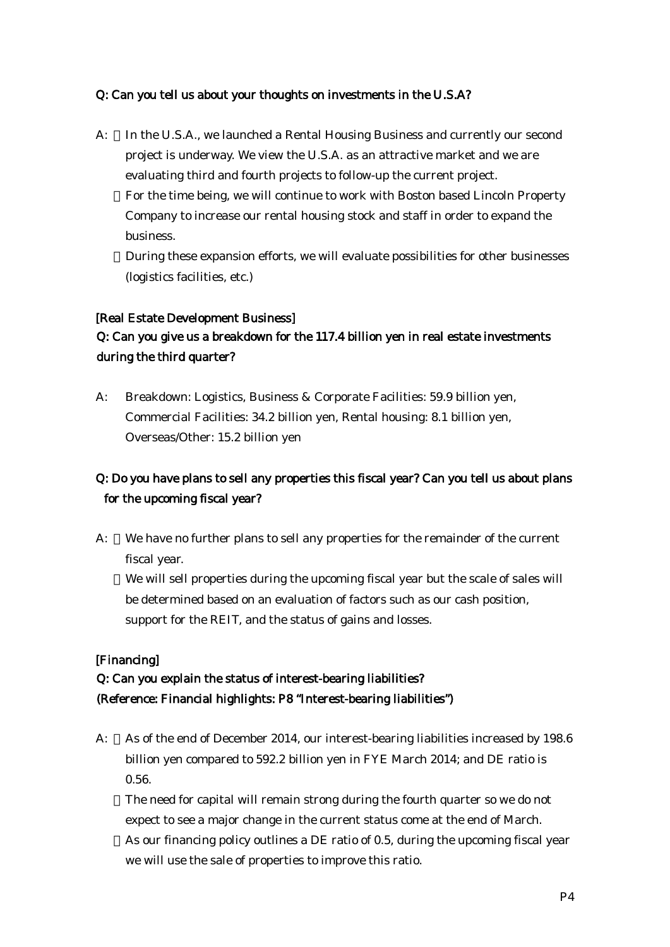#### Q: Can you tell us about your thoughts on investments in the U.S.A?

A: In the U.S.A., we launched a Rental Housing Business and currently our second project is underway. We view the U.S.A. as an attractive market and we are evaluating third and fourth projects to follow-up the current project. For the time being, we will continue to work with Boston based Lincoln Property Company to increase our rental housing stock and staff in order to expand the business.

During these expansion efforts, we will evaluate possibilities for other businesses (logistics facilities, etc.)

#### [Real Estate Development Business]

## Q: Can you give us a breakdown for the 117.4 billion yen in real estate investments during the third quarter?

A: Breakdown: Logistics, Business & Corporate Facilities: 59.9 billion yen, Commercial Facilities: 34.2 billion yen, Rental housing: 8.1 billion yen, Overseas/Other: 15.2 billion yen

# Q: Do you have plans to sell any properties this fiscal year? Can you tell us about plans for the upcoming fiscal year?

A: We have no further plans to sell any properties for the remainder of the current fiscal year.

We will sell properties during the upcoming fiscal year but the scale of sales will be determined based on an evaluation of factors such as our cash position, support for the REIT, and the status of gains and losses.

### [Financing]

# Q: Can you explain the status of interest-bearing liabilities? (Reference: Financial highlights: P8 "Interest-bearing liabilities")

A: As of the end of December 2014, our interest-bearing liabilities increased by 198.6 billion yen compared to 592.2 billion yen in FYE March 2014; and DE ratio is 0.56.

The need for capital will remain strong during the fourth quarter so we do not expect to see a major change in the current status come at the end of March. As our financing policy outlines a DE ratio of 0.5, during the upcoming fiscal year we will use the sale of properties to improve this ratio.